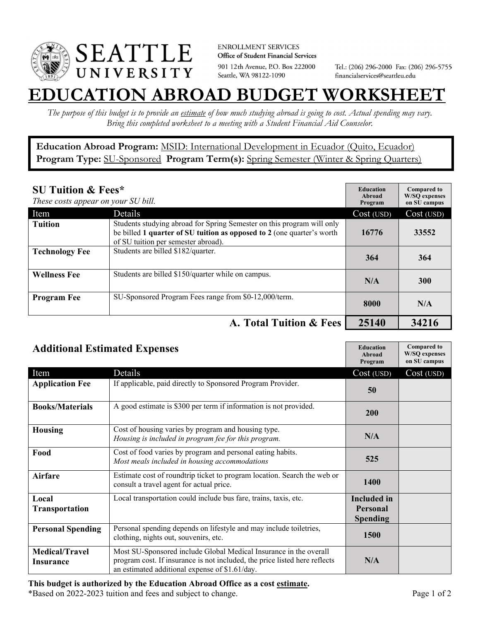

**ENROLLMENT SERVICES** Office of Student Financial Services 901 12th Avenue, P.O. Box 222000 Seattle, WA 98122-1090

Tel.: (206) 296-2000 Fax: (206) 296-5755 financialservices@seattleu.edu

## **EATION ABROAD BUDGET WORKSHEE**

*The purpose of this budget is to provide an estimate of how much studying abroad is going to cost. Actual spending may vary. Bring this completed worksheet to a meeting with a Student Financial Aid Counselor.* 

**Education Abroad Program:** MSID: International Development in Ecuador (Quito, Ecuador) Program Type: **SU-Sponsored** Program Term(s): **Spring Semester** (Winter & Spring Quarters)

| <b>SU Tuition &amp; Fees*</b><br>These costs appear on your SU bill. |                                                                                                                                                                                         | <b>Education</b><br>Abroad<br>Program | <b>Compared to</b><br><b>W/SO</b> expenses<br>on SU campus |
|----------------------------------------------------------------------|-----------------------------------------------------------------------------------------------------------------------------------------------------------------------------------------|---------------------------------------|------------------------------------------------------------|
| Item                                                                 | Details                                                                                                                                                                                 | Cost (USD)                            | Cost (USD)                                                 |
| <b>Tuition</b>                                                       | Students studying abroad for Spring Semester on this program will only<br>be billed 1 quarter of SU tuition as opposed to 2 (one quarter's worth<br>of SU tuition per semester abroad). | 16776                                 | 33552                                                      |
| <b>Technology Fee</b>                                                | Students are billed \$182/quarter.                                                                                                                                                      | 364                                   | 364                                                        |
| <b>Wellness Fee</b>                                                  | Students are billed \$150/quarter while on campus.                                                                                                                                      | N/A                                   | <b>300</b>                                                 |
| <b>Program Fee</b>                                                   | SU-Sponsored Program Fees range from \$0-12,000/term.                                                                                                                                   | 8000                                  | N/A                                                        |
|                                                                      | A. Total Tuition & Fees                                                                                                                                                                 | 25140                                 | 34216                                                      |

| <b>Additional Estimated Expenses</b> |                                                                                                                                                                                                   | <b>Education</b><br>Abroad<br>Program | <b>Compared to</b><br><b>W/SQ</b> expenses<br>on SU campus |
|--------------------------------------|---------------------------------------------------------------------------------------------------------------------------------------------------------------------------------------------------|---------------------------------------|------------------------------------------------------------|
| Item                                 | Details                                                                                                                                                                                           | Cost (USD)                            | Cost (USD)                                                 |
| <b>Application Fee</b>               | If applicable, paid directly to Sponsored Program Provider.                                                                                                                                       | 50                                    |                                                            |
| <b>Books/Materials</b>               | A good estimate is \$300 per term if information is not provided.                                                                                                                                 | 200                                   |                                                            |
| <b>Housing</b>                       | Cost of housing varies by program and housing type.<br>Housing is included in program fee for this program.                                                                                       | N/A                                   |                                                            |
| Food                                 | Cost of food varies by program and personal eating habits.<br>Most meals included in housing accommodations                                                                                       | 525                                   |                                                            |
| <b>Airfare</b>                       | Estimate cost of roundtrip ticket to program location. Search the web or<br>consult a travel agent for actual price.                                                                              | 1400                                  |                                                            |
| Local                                | Local transportation could include bus fare, trains, taxis, etc.                                                                                                                                  | <b>Included</b> in                    |                                                            |
| <b>Transportation</b>                |                                                                                                                                                                                                   | <b>Personal</b><br><b>Spending</b>    |                                                            |
| <b>Personal Spending</b>             | Personal spending depends on lifestyle and may include toiletries,<br>clothing, nights out, souvenirs, etc.                                                                                       | 1500                                  |                                                            |
| <b>Medical/Travel</b><br>Insurance   | Most SU-Sponsored include Global Medical Insurance in the overall<br>program cost. If insurance is not included, the price listed here reflects<br>an estimated additional expense of \$1.61/day. | N/A                                   |                                                            |

## **This budget is authorized by the Education Abroad Office as a cost estimate.**

\*Based on 2022-2023 tuition and fees and subject to change. Page 1 of 2